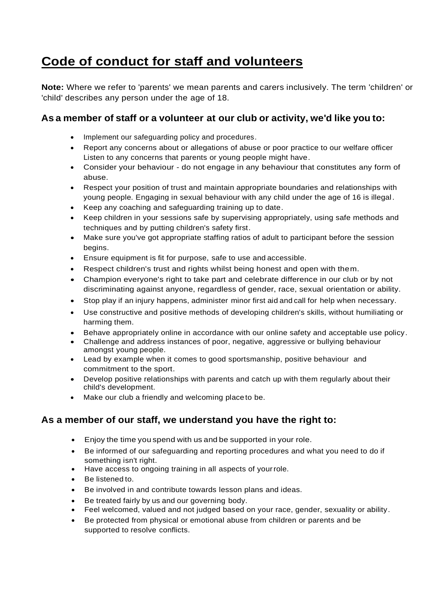## **Code of conduct for staff and volunteers**

**Note:** Where we refer to 'parents' we mean parents and carers inclusively. The term 'children' or 'child' describes any person under the age of 18.

## **As a member of staff or a volunteer at our club or activity, we'd like you to:**

- Implement our safeguarding policy and procedures.
- Report any concerns about or allegations of abuse or poor practice to our welfare officer Listen to any concerns that parents or young people might have.
- Consider your behaviour do not engage in any behaviour that constitutes any form of abuse.
- Respect your position of trust and maintain appropriate boundaries and relationships with young people. Engaging in sexual behaviour with any child under the age of 16 is illegal.
- Keep any coaching and safeguarding training up to date.
- Keep children in your sessions safe by supervising appropriately, using safe methods and techniques and by putting children's safety first.
- Make sure you've got appropriate staffing ratios of adult to participant before the session begins.
- Ensure equipment is fit for purpose, safe to use and accessible.
- Respect children's trust and rights whilst being honest and open with them.
- Champion everyone's right to take part and celebrate difference in our club or by not discriminating against anyone, regardless of gender, race, sexual orientation or ability.
- Stop play if an injury happens, administer minor first aidandcall for help when necessary.
- Use constructive and positive methods of developing children's skills, without humiliating or harming them.
- Behave appropriately online in accordance with our online safety and acceptable use policy.
- Challenge and address instances of poor, negative, aggressive or bullying behaviour amongst young people.
- Lead by example when it comes to good sportsmanship, positive behaviour and commitment to the sport.
- Develop positive relationships with parents and catch up with them regularly about their child's development.
- Make our club a friendly and welcoming place to be.

## **As a member of our staff, we understand you have the right to:**

- Enjoy the time you spend with us and be supported in your role.
- Be informed of our safeguarding and reporting procedures and what you need to do if something isn't right.
- Have access to ongoing training in all aspects of yourrole.
- Be listened to.
- Be involved in and contribute towards lesson plans and ideas.
- Be treated fairly by us and our governing body.
- Feel welcomed, valued and not judged based on your race, gender, sexuality or ability.
- Be protected from physical or emotional abuse from children or parents and be supported to resolve conflicts.